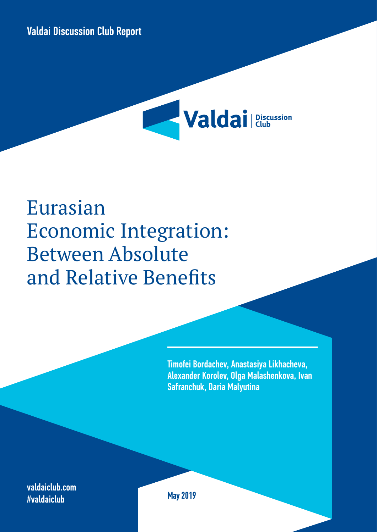



# Eurasian Economic Integration: Between Absolute and Relative Benefits

Timofei Bordachev, Anastasiya Likhacheva, Alexander Korolev, Olga Malashenkova, Ivan Safranchuk, Daria Malyutina

valdaiclub.com #valdaiclub

May 2019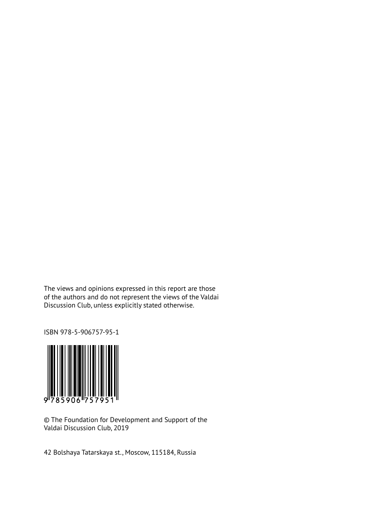The views and opinions expressed in this report are those of the authors and do not represent the views of the Valdai Discussion Club, unless explicitly stated otherwise.

ISBN 978-5-906757-95-1



© The Foundation for Development and Support of the Valdai Discussion Club, 2019

42 Bolshaya Tatarskaya st., Moscow, 115184, Russia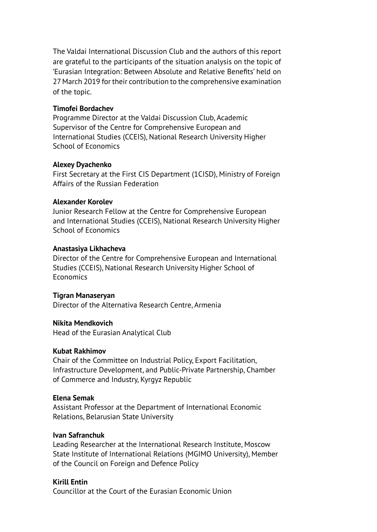The Valdai International Discussion Club and the authors of this report are grateful to the participants of the situation analysis on the topic of 'Eurasian Integration: Between Absolute and Relative Benefits' held on 27 March 2019 for their contribution to the comprehensive examination of the topic.

#### **Timofei Bordachev**

Programme Director at the Valdai Discussion Club, Academic Supervisor of the Centre for Comprehensive European and International Studies (CCEIS), National Research University Higher School of Economics

#### **Alexey Dyachenko**

First Secretary at the First CIS Department (1CISD), Ministry of Foreign Affairs of the Russian Federation

#### **Alexander Korolev**

Junior Research Fellow at the Centre for Comprehensive European and International Studies (CCEIS), National Research University Higher School of Economics

#### **Anastasiya Likhacheva**

Director of the Centre for Comprehensive European and International Studies (CCEIS), National Research University Higher School of Economics

### **Tigran Manaseryan**

Director of the Alternativa Research Centre, Armenia

### **Nikita Mendkovich**

Head of the Eurasian Analytical Club

### **Kubat Rakhimov**

Chair of the Committee on Industrial Policy, Export Facilitation, Infrastructure Development, and Public-Private Partnership, Chamber of Commerce and Industry, Kyrgyz Republic

### **Elena Semak**

Assistant Professor at the Department of International Economic Relations, Belarusian State University

#### **Ivan Safranchuk**

Leading Researcher at the International Research Institute, Moscow State Institute of International Relations (MGIMO University), Member of the Council on Foreign and Defence Policy

### **Kirill Entin**

Councillor at the Court of the Eurasian Economic Union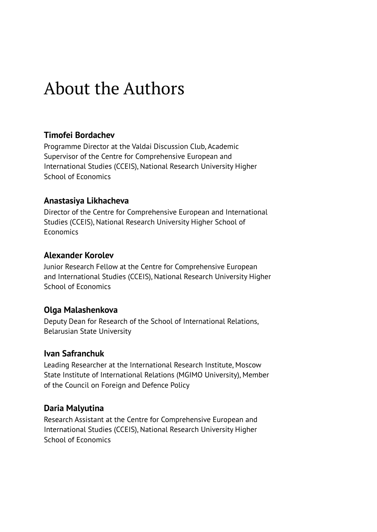## About the Authors

### **Timofei Bordachev**

Programme Director at the Valdai Discussion Club, Academic Supervisor of the Centre for Comprehensive European and International Studies (CCEIS), National Research University Higher School of Economics

### **Anastasiya Likhacheva**

Director of the Centre for Comprehensive European and International Studies (CCEIS), National Research University Higher School of **Economics** 

### **Alexander Korolev**

Junior Research Fellow at the Centre for Comprehensive European and International Studies (CCEIS), National Research University Higher School of Economics

### **Olga Malashenkova**

Deputy Dean for Research of the School of International Relations, Belarusian State University

### **Ivan Safranchuk**

Leading Researcher at the International Research Institute, Moscow State Institute of International Relations (MGIMO University), Member of the Council on Foreign and Defence Policy

### **Daria Malyutina**

Research Assistant at the Centre for Comprehensive European and International Studies (CCEIS), National Research University Higher School of Economics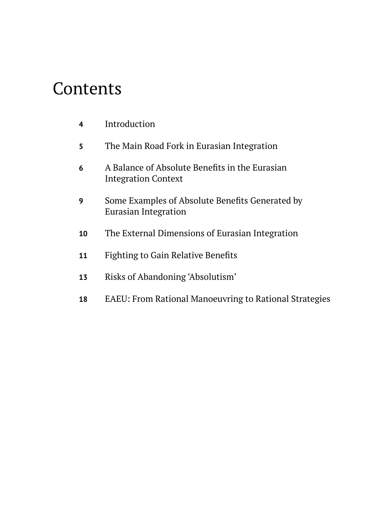## Contents

| 4 | Introduction |
|---|--------------|
|   |              |

- The Main Road Fork in Eurasian Integration
- A Balance of Absolute Benefits in the Eurasian Integration Context
- Some Examples of Absolute Benefits Generated by Eurasian Integration
- The External Dimensions of Eurasian Integration
- Fighting to Gain Relative Benefits
- Risks of Abandoning 'Absolutism'
- EAEU: From Rational Manoeuvring to Rational Strategies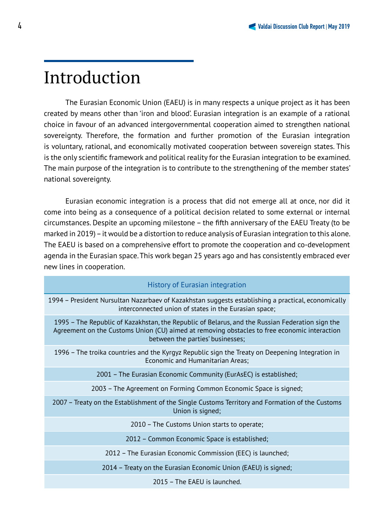## Introduction

The Eurasian Economic Union (EAEU) is in many respects a unique project as it has been created by means other than 'iron and blood'. Eurasian integration is an example of a rational choice in favour of an advanced intergovernmental cooperation aimed to strengthen national sovereignty. Therefore, the formation and further promotion of the Eurasian integration is voluntary, rational, and economically motivated cooperation between sovereign states. This is the only scientific framework and political reality for the Eurasian integration to be examined. The main purpose of the integration is to contribute to the strengthening of the member states' national sovereignty.

Eurasian economic integration is a process that did not emerge all at once, nor did it come into being as a consequence of a political decision related to some external or internal circumstances. Despite an upcoming milestone – the fifth anniversary of the EAEU Treaty (to be marked in 2019) – it would be a distortion to reduce analysis of Eurasian integration to this alone. The EAEU is based on a comprehensive effort to promote the cooperation and co-development agenda in the Eurasian space. This work began 25 years ago and has consistently embraced ever new lines in cooperation.

| <b>History of Eurasian integration</b> |  |  |  |  |  |
|----------------------------------------|--|--|--|--|--|
|----------------------------------------|--|--|--|--|--|

1994 – President Nursultan Nazarbaev of Kazakhstan suggests establishing a practical, economically interconnected union of states in the Eurasian space;

1995 – The Republic of Kazakhstan, the Republic of Belarus, and the Russian Federation sign the Agreement on the Customs Union (CU) aimed at removing obstacles to free economic interaction between the parties' businesses;

1996 – The troika countries and the Kyrgyz Republic sign the Treaty on Deepening Integration in Economic and Humanitarian Areas;

2001 – The Eurasian Economic Community (EurAsEC) is established;

2003 – The Agreement on Forming Common Economic Space is signed;

2007 – Treaty on the Establishment of the Single Customs Territory and Formation of the Customs Union is signed;

2010 – The Customs Union starts to operate;

2012 – Common Economic Space is established;

2012 – The Eurasian Economic Commission (EEC) is launched;

2014 – Treaty on the Eurasian Economic Union (EAEU) is signed;

2015 – The EAEU is launched.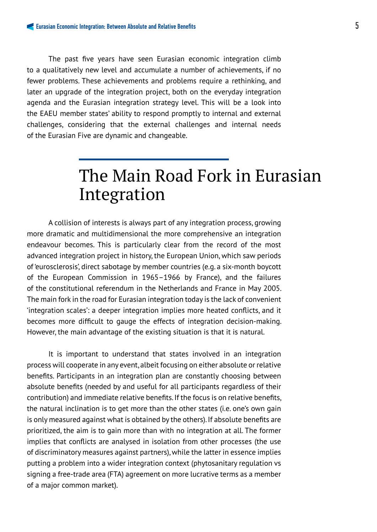### The past five years have seen Eurasian economic integration climb to a qualitatively new level and accumulate a number of achievements, if no fewer problems. These achievements and problems require a rethinking, and later an upgrade of the integration project, both on the everyday integration agenda and the Eurasian integration strategy level. This will be a look into the EAEU member states' ability to respond promptly to internal and external challenges, considering that the external challenges and internal needs of the Eurasian Five are dynamic and changeable.

## The Main Road Fork in Eurasian Integration

A collision of interests is always part of any integration process, growing more dramatic and multidimensional the more comprehensive an integration endeavour becomes. This is particularly clear from the record of the most advanced integration project in history, the European Union, which saw periods of 'eurosclerosis', direct sabotage by member countries (e.g. a six-month boycott of the European Commission in 1965–1966 by France), and the failures of the constitutional referendum in the Netherlands and France in May 2005. The main fork in the road for Eurasian integration today is the lack of convenient 'integration scales': a deeper integration implies more heated conflicts, and it becomes more difficult to gauge the effects of integration decision-making. However, the main advantage of the existing situation is that it is natural.

It is important to understand that states involved in an integration process will cooperate in any event, albeit focusing on either absolute or relative benefits. Participants in an integration plan are constantly choosing between absolute benefits (needed by and useful for all participants regardless of their contribution) and immediate relative benefits. If the focus is on relative benefits, the natural inclination is to get more than the other states (i.e. one's own gain is only measured against what is obtained by the others). If absolute benefits are prioritized, the aim is to gain more than with no integration at all. The former implies that conflicts are analysed in isolation from other processes (the use of discriminatory measures against partners), while the latter in essence implies putting a problem into a wider integration context (phytosanitary regulation vs signing a free-trade area (FTA) agreement on more lucrative terms as a member of a major common market).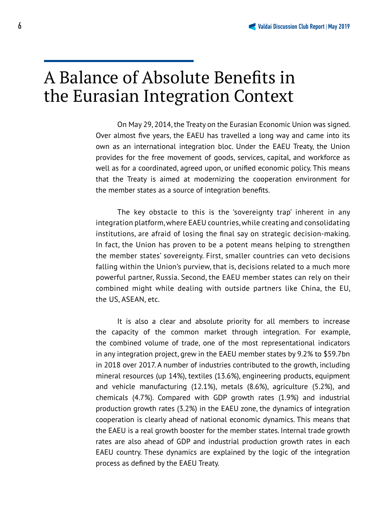## A Balance of Absolute Benefits in the Eurasian Integration Context

On May 29, 2014, the Treaty on the Eurasian Economic Union was signed. Over almost five years, the EAEU has travelled a long way and came into its own as an international integration bloc. Under the EAEU Treaty, the Union provides for the free movement of goods, services, capital, and workforce as well as for a coordinated, agreed upon, or unified economic policy. This means that the Treaty is aimed at modernizing the cooperation environment for the member states as a source of integration benefits.

The key obstacle to this is the 'sovereignty trap' inherent in any integration platform, where EAEU countries, while creating and consolidating institutions, are afraid of losing the final say on strategic decision-making. In fact, the Union has proven to be a potent means helping to strengthen the member states' sovereignty. First, smaller countries can veto decisions falling within the Union's purview, that is, decisions related to a much more powerful partner, Russia. Second, the EAEU member states can rely on their combined might while dealing with outside partners like China, the EU, the US, ASEAN, etc.

It is also a clear and absolute priority for all members to increase the capacity of the common market through integration. For example, the combined volume of trade, one of the most representational indicators in any integration project, grew in the EAEU member states by 9.2% to \$59.7bn in 2018 over 2017. A number of industries contributed to the growth, including mineral resources (up 14%), textiles (13.6%), engineering products, equipment and vehicle manufacturing (12.1%), metals (8.6%), agriculture (5.2%), and chemicals (4.7%). Compared with GDP growth rates (1.9%) and industrial production growth rates (3.2%) in the EAEU zone, the dynamics of integration cooperation is clearly ahead of national economic dynamics. This means that the EAEU is a real growth booster for the member states. Internal trade growth rates are also ahead of GDP and industrial production growth rates in each EAEU country. These dynamics are explained by the logic of the integration process as defined by the EAEU Treaty.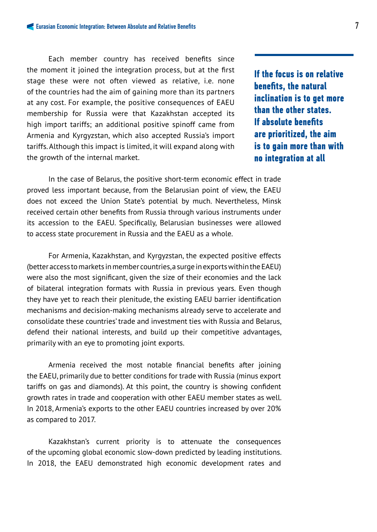Each member country has received benefits since the moment it joined the integration process, but at the first stage these were not often viewed as relative, i.e. none of the countries had the aim of gaining more than its partners at any cost. For example, the positive consequences of EAEU membership for Russia were that Kazakhstan accepted its high import tariffs; an additional positive spinoff came from Armenia and Kyrgyzstan, which also accepted Russia's import tariffs. Although this impact is limited, it will expand along with the growth of the internal market.

**If the focus is on relative benefits, the natural inclination is to get more than the other states. If absolute benefits are prioritized, the aim is to gain more than with no integration at all**

In the case of Belarus, the positive short-term economic effect in trade proved less important because, from the Belarusian point of view, the EAEU does not exceed the Union State's potential by much. Nevertheless, Minsk received certain other benefits from Russia through various instruments under its accession to the EAEU. Specifically, Belarusian businesses were allowed to access state procurement in Russia and the EAEU as a whole.

For Armenia, Kazakhstan, and Kyrgyzstan, the expected positive effects (better access to markets in member countries, a surge in exports within the EAEU) were also the most significant, given the size of their economies and the lack of bilateral integration formats with Russia in previous years. Even though they have yet to reach their plenitude, the existing EAEU barrier identification mechanisms and decision-making mechanisms already serve to accelerate and consolidate these countries' trade and investment ties with Russia and Belarus, defend their national interests, and build up their competitive advantages, primarily with an eye to promoting joint exports.

Armenia received the most notable financial benefits after joining the EAEU, primarily due to better conditions for trade with Russia (minus export tariffs on gas and diamonds). At this point, the country is showing confident growth rates in trade and cooperation with other EAEU member states as well. In 2018, Armenia's exports to the other EAEU countries increased by over 20% as compared to 2017.

Kazakhstan's current priority is to attenuate the consequences of the upcoming global economic slow-down predicted by leading institutions. In 2018, the EAEU demonstrated high economic development rates and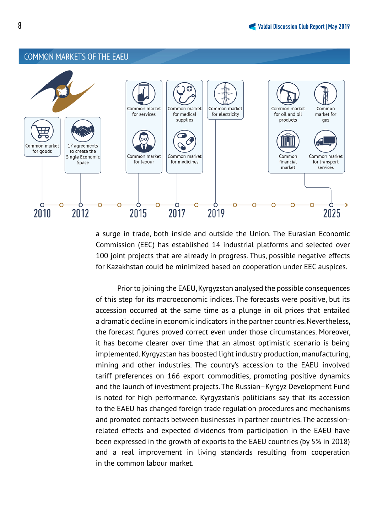#### **COMMON MARKETS OF THE EAEU**



a surge in trade, both inside and outside the Union. The Eurasian Economic Commission (EEC) has established 14 industrial platforms and selected over 100 joint projects that are already in progress. Thus, possible negative effects for Kazakhstan could be minimized based on cooperation under EEC auspices.

Prior to joining the EAEU, Kyrgyzstan analysed the possible consequences of this step for its macroeconomic indices. The forecasts were positive, but its accession occurred at the same time as a plunge in oil prices that entailed a dramatic decline in economic indicators in the partner countries. Nevertheless, the forecast figures proved correct even under those circumstances. Moreover, it has become clearer over time that an almost optimistic scenario is being implemented. Kyrgyzstan has boosted light industry production, manufacturing, mining and other industries. The country's accession to the EAEU involved tariff preferences on 166 export commodities, promoting positive dynamics and the launch of investment projects. The Russian–Kyrgyz Development Fund is noted for high performance. Kyrgyzstan's politicians say that its accession to the EAEU has changed foreign trade regulation procedures and mechanisms and promoted contacts between businesses in partner countries. The accessionrelated effects and expected dividends from participation in the EAEU have been expressed in the growth of exports to the EAEU countries (by 5% in 2018) and a real improvement in living standards resulting from cooperation in the common labour market.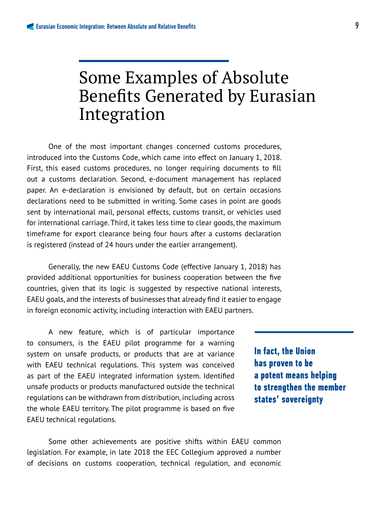## Some Examples of Absolute Benefits Generated by Eurasian Integration

One of the most important changes concerned customs procedures, introduced into the Customs Code, which came into effect on January 1, 2018. First, this eased customs procedures, no longer requiring documents to fill out a customs declaration. Second, e-document management has replaced paper. An e-declaration is envisioned by default, but on certain occasions declarations need to be submitted in writing. Some cases in point are goods sent by international mail, personal effects, customs transit, or vehicles used for international carriage. Third, it takes less time to clear goods, the maximum timeframe for export clearance being four hours after a customs declaration is registered (instead of 24 hours under the earlier arrangement).

Generally, the new EAEU Customs Code (effective January 1, 2018) has provided additional opportunities for business cooperation between the five countries, given that its logic is suggested by respective national interests, EAEU goals, and the interests of businesses that already find it easier to engage in foreign economic activity, including interaction with EAEU partners.

A new feature, which is of particular importance to consumers, is the EAEU pilot programme for a warning system on unsafe products, or products that are at variance with EAEU technical regulations. This system was conceived as part of the EAEU integrated information system. Identified unsafe products or products manufactured outside the technical regulations can be withdrawn from distribution, including across the whole EAEU territory. The pilot programme is based on five EAEU technical regulations.

Some other achievements are positive shifts within EAEU common legislation. For example, in late 2018 the EEC Collegium approved a number of decisions on customs cooperation, technical regulation, and economic

**In fact, the Union has proven to be a potent means helping to strengthen the member states' sovereignty**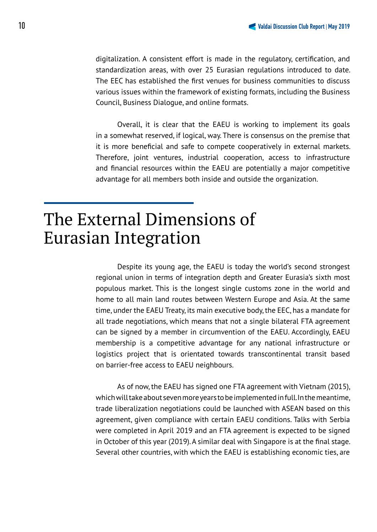digitalization. A consistent effort is made in the regulatory, certification, and standardization areas, with over 25 Eurasian regulations introduced to date. The EEC has established the first venues for business communities to discuss various issues within the framework of existing formats, including the Business Council, Business Dialogue, and online formats.

Overall, it is clear that the EAEU is working to implement its goals in a somewhat reserved, if logical, way. There is consensus on the premise that it is more beneficial and safe to compete cooperatively in external markets. Therefore, joint ventures, industrial cooperation, access to infrastructure and financial resources within the EAEU are potentially a major competitive advantage for all members both inside and outside the organization.

## The External Dimensions of Eurasian Integration

Despite its young age, the EAEU is today the world's second strongest regional union in terms of integration depth and Greater Eurasia's sixth most populous market. This is the longest single customs zone in the world and home to all main land routes between Western Europe and Asia. At the same time, under the EAEU Treaty, its main executive body, the EEC, has a mandate for all trade negotiations, which means that not a single bilateral FTA agreement can be signed by a member in circumvention of the EAEU. Accordingly, EAEU membership is a competitive advantage for any national infrastructure or logistics project that is orientated towards transcontinental transit based on barrier-free access to EAEU neighbours.

As of now, the EAEU has signed one FTA agreement with Vietnam (2015), which will take about seven more years to be implemented in full. In the meantime, trade liberalization negotiations could be launched with ASEAN based on this agreement, given compliance with certain EAEU conditions. Talks with Serbia were completed in April 2019 and an FTA agreement is expected to be signed in October of this year (2019). A similar deal with Singapore is at the final stage. Several other countries, with which the EAEU is establishing economic ties, are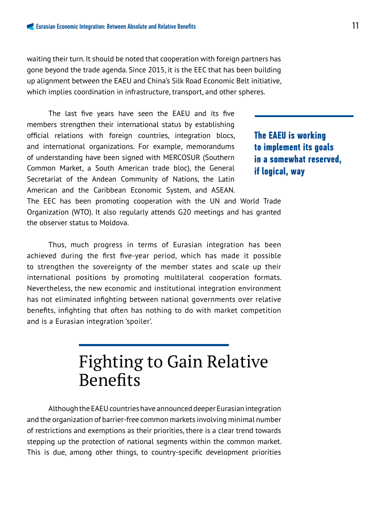waiting their turn. It should be noted that cooperation with foreign partners has gone beyond the trade agenda. Since 2015, it is the EEC that has been building up alignment between the EAEU and China's Silk Road Economic Belt initiative, which implies coordination in infrastructure, transport, and other spheres.

The last five years have seen the EAEU and its five members strengthen their international status by establishing official relations with foreign countries, integration blocs, and international organizations. For example, memorandums of understanding have been signed with MERCOSUR (Southern Common Market, a South American trade bloc), the General Secretariat of the Andean Community of Nations, the Latin American and the Caribbean Economic System, and ASEAN.

**The EAEU is working to implement its goals in a somewhat reserved, if logical, way** 

The EEC has been promoting cooperation with the UN and World Trade Organization (WTO). It also regularly attends G20 meetings and has granted the observer status to Moldova.

Thus, much progress in terms of Eurasian integration has been achieved during the first five-year period, which has made it possible to strengthen the sovereignty of the member states and scale up their international positions by promoting multilateral cooperation formats. Nevertheless, the new economic and institutional integration environment has not eliminated infighting between national governments over relative benefits, infighting that often has nothing to do with market competition and is a Eurasian integration 'spoiler'.

## Fighting to Gain Relative **Benefits**

Although the EAEU countries have announced deeper Eurasian integration and the organization of barrier-free common markets involving minimal number of restrictions and exemptions as their priorities, there is a clear trend towards stepping up the protection of national segments within the common market. This is due, among other things, to country-specific development priorities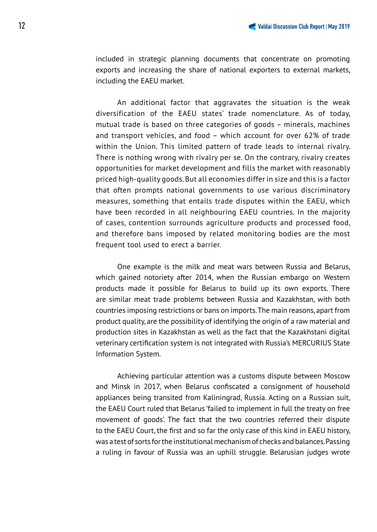included in strategic planning documents that concentrate on promoting exports and increasing the share of national exporters to external markets, including the EAEU market.

An additional factor that aggravates the situation is the weak diversification of the EAEU states' trade nomenclature. As of today, mutual trade is based on three categories of goods – minerals, machines and transport vehicles, and food – which account for over 62% of trade within the Union. This limited pattern of trade leads to internal rivalry. There is nothing wrong with rivalry per se. On the contrary, rivalry creates opportunities for market development and fills the market with reasonably priced high-quality goods. But all economies differ in size and this is a factor that often prompts national governments to use various discriminatory measures, something that entails trade disputes within the EAEU, which have been recorded in all neighbouring EAEU countries. In the majority of cases, contention surrounds agriculture products and processed food, and therefore bans imposed by related monitoring bodies are the most frequent tool used to erect a barrier.

One example is the milk and meat wars between Russia and Belarus, which gained notoriety after 2014, when the Russian embargo on Western products made it possible for Belarus to build up its own exports. There are similar meat trade problems between Russia and Kazakhstan, with both countries imposing restrictions or bans on imports. The main reasons, apart from product quality, are the possibility of identifying the origin of a raw material and production sites in Kazakhstan as well as the fact that the Kazakhstani digital veterinary certification system is not integrated with Russia's MERCURIUS State Information System.

Achieving particular attention was a customs dispute between Moscow and Minsk in 2017, when Belarus confiscated a consignment of household appliances being transited from Kaliningrad, Russia. Acting on a Russian suit, the EAEU Court ruled that Belarus 'failed to implement in full the treaty on free movement of goods'. The fact that the two countries referred their dispute to the EAEU Court, the first and so far the only case of this kind in EAEU history, was a test of sorts for the institutional mechanism of checks and balances. Passing a ruling in favour of Russia was an uphill struggle. Belarusian judges wrote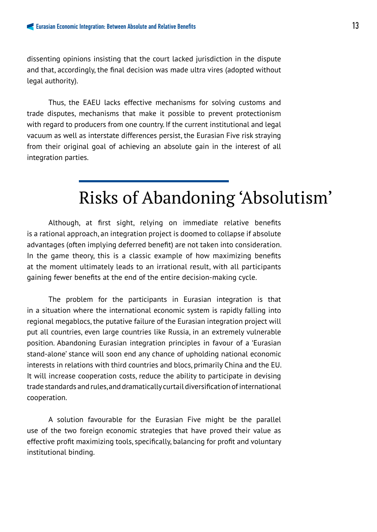dissenting opinions insisting that the court lacked jurisdiction in the dispute and that, accordingly, the final decision was made ultra vires (adopted without legal authority).

Thus, the EAEU lacks effective mechanisms for solving customs and trade disputes, mechanisms that make it possible to prevent protectionism with regard to producers from one country. If the current institutional and legal vacuum as well as interstate differences persist, the Eurasian Five risk straying from their original goal of achieving an absolute gain in the interest of all integration parties.

## Risks of Abandoning 'Absolutism'

Although, at first sight, relying on immediate relative benefits is a rational approach, an integration project is doomed to collapse if absolute advantages (often implying deferred benefit) are not taken into consideration. In the game theory, this is a classic example of how maximizing benefits at the moment ultimately leads to an irrational result, with all participants gaining fewer benefits at the end of the entire decision-making cycle.

The problem for the participants in Eurasian integration is that in a situation where the international economic system is rapidly falling into regional megablocs, the putative failure of the Eurasian integration project will put all countries, even large countries like Russia, in an extremely vulnerable position. Abandoning Eurasian integration principles in favour of a 'Eurasian stand-alone' stance will soon end any chance of upholding national economic interests in relations with third countries and blocs, primarily China and the EU. It will increase cooperation costs, reduce the ability to participate in devising trade standards and rules, and dramatically curtail diversification of international cooperation.

A solution favourable for the Eurasian Five might be the parallel use of the two foreign economic strategies that have proved their value as effective profit maximizing tools, specifically, balancing for profit and voluntary institutional binding.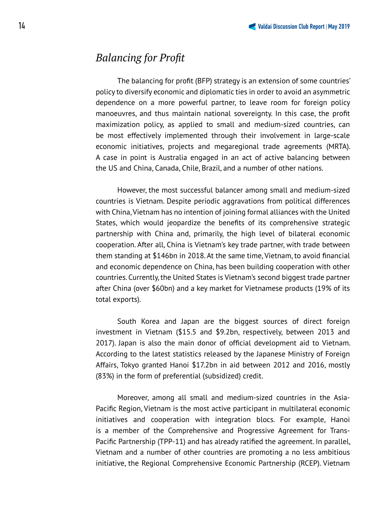## *Balancing for Profit*

The balancing for profit (BFP) strategy is an extension of some countries' policy to diversify economic and diplomatic ties in order to avoid an asymmetric dependence on a more powerful partner, to leave room for foreign policy manoeuvres, and thus maintain national sovereignty. In this case, the profit maximization policy, as applied to small and medium-sized countries, can be most effectively implemented through their involvement in large-scale economic initiatives, projects and megaregional trade agreements (MRTA). A case in point is Australia engaged in an act of active balancing between the US and China, Canada, Chile, Brazil, and a number of other nations.

However, the most successful balancer among small and medium-sized countries is Vietnam. Despite periodic aggravations from political differences with China, Vietnam has no intention of joining formal alliances with the United States, which would jeopardize the benefits of its comprehensive strategic partnership with China and, primarily, the high level of bilateral economic cooperation. After all, China is Vietnam's key trade partner, with trade between them standing at \$146bn in 2018. At the same time, Vietnam, to avoid financial and economic dependence on China, has been building cooperation with other countries. Currently, the United States is Vietnam's second biggest trade partner after China (over \$60bn) and a key market for Vietnamese products (19% of its total exports).

South Korea and Japan are the biggest sources of direct foreign investment in Vietnam (\$15.5 and \$9.2bn, respectively, between 2013 and 2017). Japan is also the main donor of official development aid to Vietnam. According to the latest statistics released by the Japanese Ministry of Foreign Affairs, Tokyo granted Hanoi \$17.2bn in aid between 2012 and 2016, mostly (83%) in the form of preferential (subsidized) credit.

Moreover, among all small and medium-sized countries in the Asia-Pacific Region, Vietnam is the most active participant in multilateral economic initiatives and cooperation with integration blocs. For example, Hanoi is a member of the Comprehensive and Progressive Agreement for Trans-Pacific Partnership (TPP-11) and has already ratified the agreement. In parallel, Vietnam and a number of other countries are promoting a no less ambitious initiative, the Regional Comprehensive Economic Partnership (RCEP). Vietnam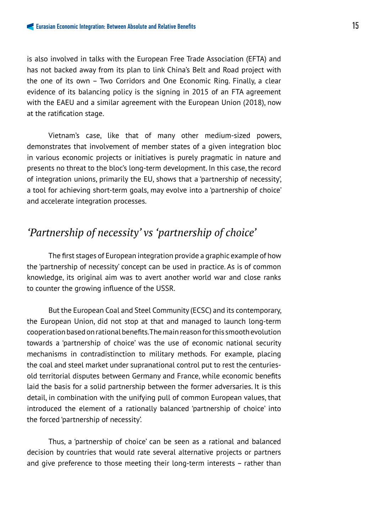is also involved in talks with the European Free Trade Association (EFTA) and has not backed away from its plan to link China's Belt and Road project with the one of its own – Two Corridors and One Economic Ring. Finally, a clear evidence of its balancing policy is the signing in 2015 of an FTA agreement with the EAEU and a similar agreement with the European Union (2018), now at the ratification stage.

Vietnam's case, like that of many other medium-sized powers, demonstrates that involvement of member states of a given integration bloc in various economic projects or initiatives is purely pragmatic in nature and presents no threat to the bloc's long-term development. In this case, the record of integration unions, primarily the EU, shows that a 'partnership of necessity', a tool for achieving short-term goals, may evolve into a 'partnership of choice' and accelerate integration processes.

## *'Partnership of necessity' vs 'partnership of choice'*

The first stages of European integration provide a graphic example of how the 'partnership of necessity' concept can be used in practice. As is of common knowledge, its original aim was to avert another world war and close ranks to counter the growing influence of the USSR.

But the European Coal and Steel Community (ECSC) and its contemporary, the European Union, did not stop at that and managed to launch long-term cooperation based on rational benefits. The main reason for this smooth evolution towards a 'partnership of choice' was the use of economic national security mechanisms in contradistinction to military methods. For example, placing the coal and steel market under supranational control put to rest the centuriesold territorial disputes between Germany and France, while economic benefits laid the basis for a solid partnership between the former adversaries. It is this detail, in combination with the unifying pull of common European values, that introduced the element of a rationally balanced 'partnership of choice' into the forced 'partnership of necessity'.

Thus, a 'partnership of choice' can be seen as a rational and balanced decision by countries that would rate several alternative projects or partners and give preference to those meeting their long-term interests – rather than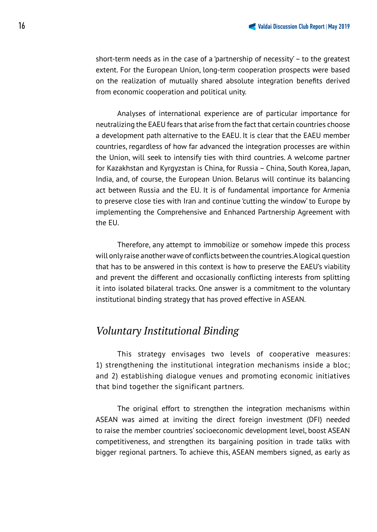short-term needs as in the case of a 'partnership of necessity' – to the greatest extent. For the European Union, long-term cooperation prospects were based on the realization of mutually shared absolute integration benefits derived from economic cooperation and political unity.

Analyses of international experience are of particular importance for neutralizing the EAEU fears that arise from the fact that certain countries choose a development path alternative to the EAEU. It is clear that the EAEU member countries, regardless of how far advanced the integration processes are within the Union, will seek to intensify ties with third countries. A welcome partner for Kazakhstan and Kyrgyzstan is China, for Russia – China, South Korea, Japan, India, and, of course, the European Union. Belarus will continue its balancing act between Russia and the EU. It is of fundamental importance for Armenia to preserve close ties with Iran and continue 'cutting the window' to Europe by implementing the Comprehensive and Enhanced Partnership Agreement with the EU.

Therefore, any attempt to immobilize or somehow impede this process will only raise another wave of conflicts between the countries. A logical question that has to be answered in this context is how to preserve the EAEU's viability and prevent the different and occasionally conflicting interests from splitting it into isolated bilateral tracks. One answer is a commitment to the voluntary institutional binding strategy that has proved effective in ASEAN.

### *Voluntary Institutional Binding*

This strategy envisages two levels of cooperative measures: 1) strengthening the institutional integration mechanisms inside a bloc; and 2) establishing dialogue venues and promoting economic initiatives that bind together the significant partners.

The original effort to strengthen the integration mechanisms within ASEAN was aimed at inviting the direct foreign investment (DFI) needed to raise the member countries' socioeconomic development level, boost ASEAN competitiveness, and strengthen its bargaining position in trade talks with bigger regional partners. To achieve this, ASEAN members signed, as early as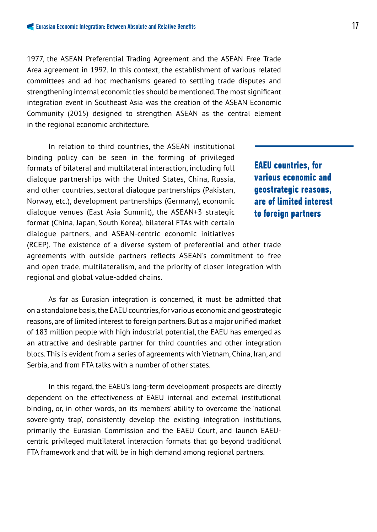1977, the ASEAN Preferential Trading Agreement and the ASEAN Free Trade Area agreement in 1992. In this context, the establishment of various related committees and ad hoc mechanisms geared to settling trade disputes and strengthening internal economic ties should be mentioned. The most significant integration event in Southeast Asia was the creation of the ASEAN Economic Community (2015) designed to strengthen ASEAN as the central element in the regional economic architecture.

In relation to third countries, the ASEAN institutional binding policy can be seen in the forming of privileged formats of bilateral and multilateral interaction, including full dialogue partnerships with the United States, China, Russia, and other countries, sectoral dialogue partnerships (Pakistan, Norway, etc.), development partnerships (Germany), economic dialogue venues (East Asia Summit), the ASEAN+3 strategic format (China, Japan, South Korea), bilateral FTAs with certain dialogue partners, and ASEAN-centric economic initiatives

**EAEU countries, for various economic and geostrategic reasons, are of limited interest to foreign partners** 

(RCEP). The existence of a diverse system of preferential and other trade agreements with outside partners reflects ASEAN's commitment to free and open trade, multilateralism, and the priority of closer integration with regional and global value-added chains.

As far as Eurasian integration is concerned, it must be admitted that on a standalone basis, the EAEU countries, for various economic and geostrategic reasons, are of limited interest to foreign partners. But as a major unified market of 183 million people with high industrial potential, the EAEU has emerged as an attractive and desirable partner for third countries and other integration blocs. This is evident from a series of agreements with Vietnam, China, Iran, and Serbia, and from FTA talks with a number of other states.

In this regard, the EAEU's long-term development prospects are directly dependent on the effectiveness of EAEU internal and external institutional binding, or, in other words, on its members' ability to overcome the 'national sovereignty trap', consistently develop the existing integration institutions, primarily the Eurasian Commission and the EAEU Court, and launch EAEUcentric privileged multilateral interaction formats that go beyond traditional FTA framework and that will be in high demand among regional partners.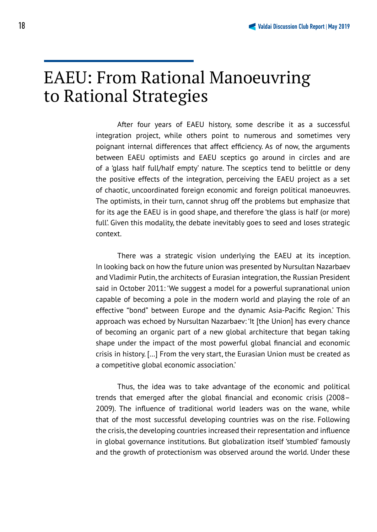## EAEU: From Rational Manoeuvring to Rational Strategies

After four years of EAEU history, some describe it as a successful integration project, while others point to numerous and sometimes very poignant internal differences that affect efficiency. As of now, the arguments between EAEU optimists and EAEU sceptics go around in circles and are of a 'glass half full/half empty' nature. The sceptics tend to belittle or deny the positive effects of the integration, perceiving the EAEU project as a set of chaotic, uncoordinated foreign economic and foreign political manoeuvres. The optimists, in their turn, cannot shrug off the problems but emphasize that for its age the EAEU is in good shape, and therefore 'the glass is half (or more) full'. Given this modality, the debate inevitably goes to seed and loses strategic context.

There was a strategic vision underlying the EAEU at its inception. In looking back on how the future union was presented by Nursultan Nazarbaev and Vladimir Putin, the architects of Eurasian integration, the Russian President said in October 2011: 'We suggest a model for a powerful supranational union capable of becoming a pole in the modern world and playing the role of an effective "bond" between Europe and the dynamic Asia-Pacific Region.' This approach was echoed by Nursultan Nazarbaev: 'It [the Union] has every chance of becoming an organic part of a new global architecture that began taking shape under the impact of the most powerful global financial and economic crisis in history. […] From the very start, the Eurasian Union must be created as a competitive global economic association.'

Thus, the idea was to take advantage of the economic and political trends that emerged after the global financial and economic crisis  $(2008 -$ 2009). The influence of traditional world leaders was on the wane, while that of the most successful developing countries was on the rise. Following the crisis, the developing countries increased their representation and influence in global governance institutions. But globalization itself 'stumbled' famously and the growth of protectionism was observed around the world. Under these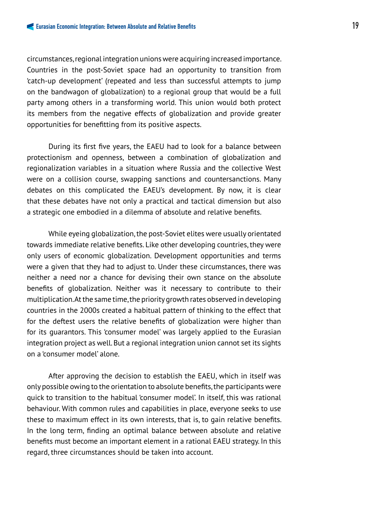circumstances, regional integration unions were acquiring increased importance. Countries in the post-Soviet space had an opportunity to transition from 'catch-up development' (repeated and less than successful attempts to jump on the bandwagon of globalization) to a regional group that would be a full party among others in a transforming world. This union would both protect its members from the negative effects of globalization and provide greater opportunities for benefitting from its positive aspects.

During its first five years, the EAEU had to look for a balance between protectionism and openness, between a combination of globalization and regionalization variables in a situation where Russia and the collective West were on a collision course, swapping sanctions and countersanctions. Many debates on this complicated the EAEU's development. By now, it is clear that these debates have not only a practical and tactical dimension but also a strategic one embodied in a dilemma of absolute and relative benefits.

While eyeing globalization, the post-Soviet elites were usually orientated towards immediate relative benefits. Like other developing countries, they were only users of economic globalization. Development opportunities and terms were a given that they had to adjust to. Under these circumstances, there was neither a need nor a chance for devising their own stance on the absolute benefits of globalization. Neither was it necessary to contribute to their multiplication. At the same time, the priority growth rates observed in developing countries in the 2000s created a habitual pattern of thinking to the effect that for the deftest users the relative benefits of globalization were higher than for its guarantors. This 'consumer model' was largely applied to the Eurasian integration project as well. But a regional integration union cannot set its sights on a 'consumer model' alone.

After approving the decision to establish the EAEU, which in itself was only possible owing to the orientation to absolute benefits, the participants were quick to transition to the habitual 'consumer model'. In itself, this was rational behaviour. With common rules and capabilities in place, everyone seeks to use these to maximum effect in its own interests, that is, to gain relative benefits. In the long term, finding an optimal balance between absolute and relative benefits must become an important element in a rational EAEU strategy. In this regard, three circumstances should be taken into account.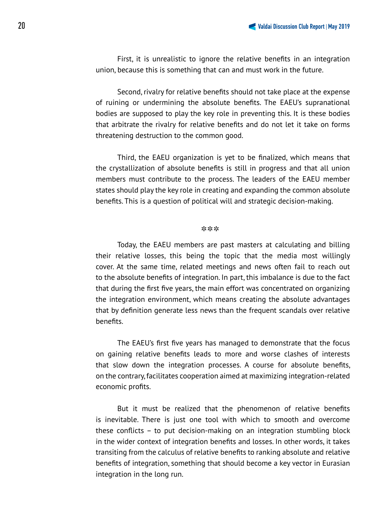First, it is unrealistic to ignore the relative benefits in an integration union, because this is something that can and must work in the future.

Second, rivalry for relative benefits should not take place at the expense of ruining or undermining the absolute benefits. The EAEU's supranational bodies are supposed to play the key role in preventing this. It is these bodies that arbitrate the rivalry for relative benefits and do not let it take on forms threatening destruction to the common good.

Third, the EAEU organization is yet to be finalized, which means that the crystallization of absolute benefits is still in progress and that all union members must contribute to the process. The leaders of the EAEU member states should play the key role in creating and expanding the common absolute benefits. This is a question of political will and strategic decision-making.

#### \*\*\*

Today, the EAEU members are past masters at calculating and billing their relative losses, this being the topic that the media most willingly cover. At the same time, related meetings and news often fail to reach out to the absolute benefits of integration. In part, this imbalance is due to the fact that during the first five years, the main effort was concentrated on organizing the integration environment, which means creating the absolute advantages that by definition generate less news than the frequent scandals over relative benefits.

The EAEU's first five years has managed to demonstrate that the focus on gaining relative benefits leads to more and worse clashes of interests that slow down the integration processes. A course for absolute benefits, on the contrary, facilitates cooperation aimed at maximizing integration-related economic profits.

But it must be realized that the phenomenon of relative benefits is inevitable. There is just one tool with which to smooth and overcome these conflicts – to put decision-making on an integration stumbling block in the wider context of integration benefits and losses. In other words, it takes transiting from the calculus of relative benefits to ranking absolute and relative benefits of integration, something that should become a key vector in Eurasian integration in the long run.